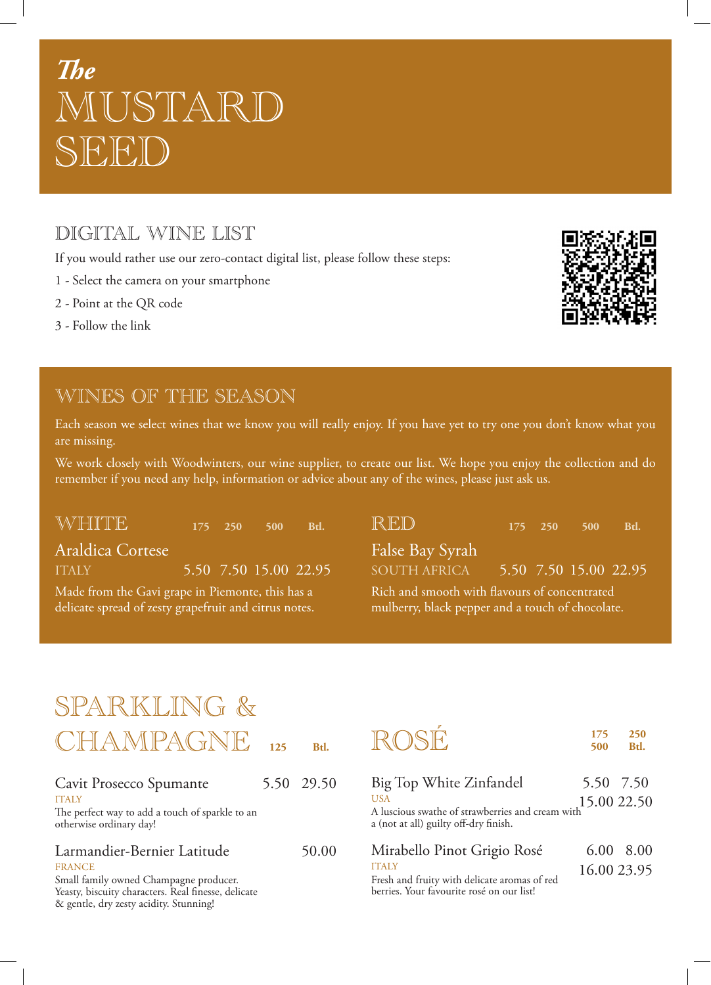# *The* MUSTARD SEED)

# DIGITAL WINE LIST

If you would rather use our zero-contact digital list, please follow these steps:

- 1 Select the camera on your smartphone
- 2 Point at the QR code
- 3 Follow the link



### WINES OF THE SEASON

Each season we select wines that we know you will really enjoy. If you have yet to try one you don't know what you are missing.

We work closely with Woodwinters, our wine supplier, to create our list. We hope you enjoy the collection and do remember if you need any help, information or advice about any of the wines, please just ask us.

WHITE **<sup>175</sup> <sup>250</sup> <sup>500</sup> Btl.**

Araldica Cortese ITALY 5.50 7.50 15.00 22.95

Made from the Gavi grape in Piemonte, this has a delicate spread of zesty grapefruit and citrus notes.

RED **<sup>175</sup> <sup>250</sup> <sup>500</sup> Btl.**

False Bay Syrah

SOUTH AFRICA 5.50 7.50 15.00 22.95

Rich and smooth with flavours of concentrated mulberry, black pepper and a touch of chocolate.

# SPARKLING & **IFFANTOACNIC**

| <u>UHAIVILAUINE</u>                                                                           | 125 | Btl.       |
|-----------------------------------------------------------------------------------------------|-----|------------|
| Cavit Prosecco Spumante<br><b>ITALY</b>                                                       |     | 5.50 29.50 |
| The perfect way to add a touch of sparkle to an<br>otherwise ordinary day!                    |     |            |
| Larmandier-Bernier Latitude<br><b>FRANCE</b>                                                  |     | 50.00      |
| Small family owned Champagne producer.<br>Yeasty, biscuity characters. Real finesse, delicate |     |            |

& gentle, dry zesty acidity. Stunning!

| ROSE | <b>500 Btl.</b> | 175 250 |
|------|-----------------|---------|
|      |                 |         |

Big Top White Zinfandel 5.50 7.50 **USA** A luscious swathe of strawberries and cream with a (not at all) guilty off-dry finish. 15.00 22.50

| Mirabello Pinot Grigio Rosé                                                                   | 6.00 8.00   |  |
|-----------------------------------------------------------------------------------------------|-------------|--|
| <b>ITALY</b><br>$E_{\rm{max}}$ be a defined a state of the state of $\epsilon$ and $\epsilon$ | 16.00 23.95 |  |

Fresh and fruity with delicate aromas of red berries. Your favourite rosé on our list!